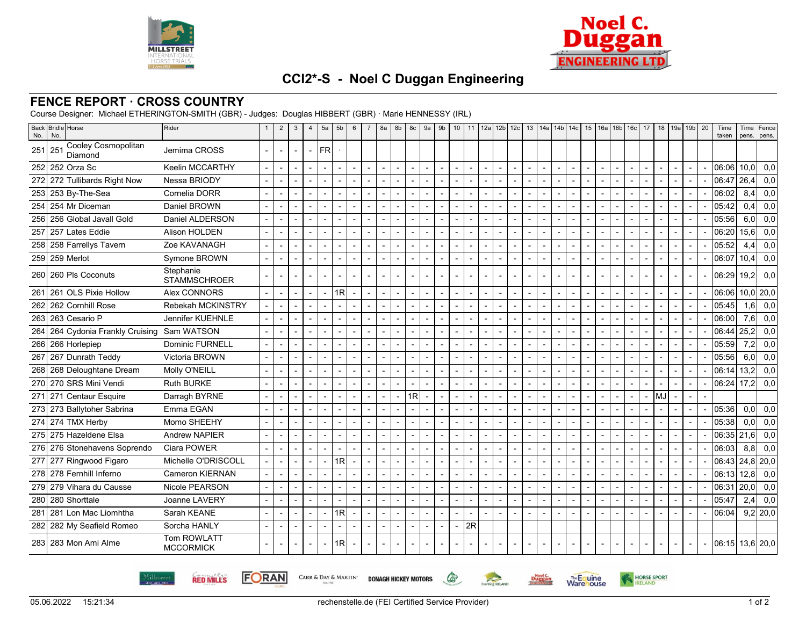



## **CCI2\*-S - Noel C Duggan Engineering**

## **FENCE REPORT · CROSS COUNTRY**

Course Designer: Michael ETHERINGTON-SMITH (GBR) - Judges: Douglas HIBBERT (GBR) · Marie HENNESSY (IRL)

| Back<br>No. | <b>Bridle</b> Horse<br>No.            | Rider                            |                          | $\overline{2}$ | 3                        | $\overline{4}$ | 5a                       | 5b             | 6                        | $\overline{7}$           | 8a | 8b             | 8c             | 9a                       | 9 <sub>b</sub> |                          |                          | 10   11   12a   12b   12c   13   14a   14b   14c |                          |                          |                |                          |                                            |        |                          | 15 16a 16b 16c 17        | 18                       |                          | 19a 19b 20               | Time<br>taken     | Time<br>pens.     | Fence<br>pens. |
|-------------|---------------------------------------|----------------------------------|--------------------------|----------------|--------------------------|----------------|--------------------------|----------------|--------------------------|--------------------------|----|----------------|----------------|--------------------------|----------------|--------------------------|--------------------------|--------------------------------------------------|--------------------------|--------------------------|----------------|--------------------------|--------------------------------------------|--------|--------------------------|--------------------------|--------------------------|--------------------------|--------------------------|-------------------|-------------------|----------------|
| 251         | Cooley Cosmopolitan<br>251<br>Diamond | Jemima CROSS                     |                          | $\sim$         | $\overline{\phantom{a}}$ | $\overline{a}$ | <b>FR</b>                |                |                          |                          |    |                |                |                          |                |                          |                          |                                                  |                          |                          |                |                          |                                            |        |                          |                          |                          |                          |                          |                   |                   |                |
| 252         | 252 Orza Sc                           | Keelin MCCARTHY                  | $\sim$                   | $\sim$         |                          |                |                          |                | $\blacksquare$           | $\sim$                   |    | $\overline{a}$ | $\blacksquare$ | $\overline{\phantom{a}}$ | $\sim$         | $\overline{\phantom{a}}$ | $\overline{\phantom{a}}$ | $\sim$                                           |                          | $\blacksquare$           | $\overline{a}$ | $\blacksquare$           | $\sim$                                     | $\sim$ | $\blacksquare$           | $\blacksquare$           | $\sim$                   | $\overline{\phantom{a}}$ | $\blacksquare$           | 06:06             | 10.0 <sub>l</sub> | 0,0            |
| 272         | 272 Tullibards Right Now              | Nessa BRIODY                     |                          |                |                          |                |                          |                |                          |                          |    |                |                |                          | $\sim$         | $\blacksquare$           |                          | $\overline{\phantom{a}}$                         |                          | $\blacksquare$           |                |                          | $\sim$<br>$\overline{\phantom{a}}$         |        | $\blacksquare$           |                          | $\overline{\phantom{a}}$ |                          | $\blacksquare$           | 06:47             | 26,4              | 0,0            |
| 253         | 253 By-The-Sea                        | Cornelia DORR                    |                          | $\overline{a}$ |                          | $\sim$         | $\overline{a}$           | $\overline{a}$ |                          | $\sim$                   |    | $\overline{a}$ | $\overline{a}$ | $\overline{\phantom{a}}$ | $\sim$         | $\blacksquare$           | $\overline{a}$           | $\sim$                                           | $\overline{\phantom{a}}$ | $\blacksquare$           | Ĭ.             |                          | $\sim$<br>$\overline{\phantom{a}}$         |        | ÷,                       | Ĭ.                       | $\sim$                   | $\overline{\phantom{a}}$ | $\blacksquare$           | 06:02             | 8,4               | 0,0            |
| 254         | 254 Mr Diceman                        | Daniel BROWN                     |                          |                |                          |                |                          |                |                          |                          |    |                |                | $\blacksquare$           |                |                          |                          | $\overline{\phantom{a}}$                         |                          |                          |                |                          | $\blacksquare$                             |        |                          |                          |                          |                          |                          | 05:42             | 0.4               | 0,0            |
| 256         | 256 Global Javall Gold                | Daniel ALDERSON                  | $\overline{\phantom{a}}$ |                |                          | $\overline{a}$ | $\overline{a}$           |                |                          | $\overline{\phantom{a}}$ |    |                |                | $\overline{\phantom{a}}$ |                | $\overline{\phantom{a}}$ | $\overline{\phantom{a}}$ | $\overline{\phantom{a}}$                         |                          |                          |                | $\overline{\phantom{a}}$ | $\overline{\phantom{a}}$                   |        |                          | $\overline{a}$           |                          |                          |                          | 05:56             | 6,0               | 0,0            |
| 257         | 257 Lates Eddie                       | Alison HOLDEN                    |                          | $\sim$         |                          |                |                          |                |                          | $\overline{a}$           |    |                |                |                          | $\sim$         | $\blacksquare$           |                          | $\overline{a}$                                   |                          | $\blacksquare$           |                |                          | $\sim$<br>$\overline{\phantom{a}}$         |        | $\blacksquare$           |                          | $\overline{\phantom{a}}$ | $\overline{\phantom{a}}$ | $\sim$                   | 06:20             | 15,6              | 0,0            |
| 258         | 258 Farrellys Tavern                  | Zoe KAVANAGH                     |                          |                |                          | $\overline{a}$ | $\overline{a}$           | $\overline{a}$ |                          | $\blacksquare$           |    |                |                |                          | $\sim$         | $\blacksquare$           | $\blacksquare$           | $\overline{\phantom{a}}$                         |                          | $\blacksquare$           | $\overline{a}$ |                          | $\overline{a}$<br>$\overline{\phantom{a}}$ |        | $\overline{a}$           | $\overline{\phantom{a}}$ | $\blacksquare$           | $\overline{a}$           | $\blacksquare$           | 05:52             | 4,4               | 0,0            |
| 259         | 259 Merlot                            | Symone BROWN                     | $\sim$                   |                |                          |                |                          |                | $\overline{\phantom{a}}$ | $\overline{a}$           |    |                |                | $\blacksquare$           |                | $\overline{a}$           | $\overline{\phantom{a}}$ |                                                  |                          | $\blacksquare$           |                |                          | $\sim$                                     |        |                          |                          |                          |                          |                          | 06:07             | 10,4              | 0,0            |
| 260         | 260 Pls Coconuts                      | Stephanie<br><b>STAMMSCHROER</b> |                          |                |                          |                |                          |                |                          |                          |    |                |                |                          |                |                          |                          |                                                  |                          |                          |                |                          |                                            |        |                          |                          |                          |                          |                          | 06:29             | 19.2              | 0,0            |
| 261         | 261 OLS Pixie Hollow                  | Alex CONNORS                     |                          |                |                          | $\blacksquare$ |                          | 1R             | $\overline{a}$           | $\overline{a}$           |    |                | $\blacksquare$ | $\overline{a}$           |                | $\blacksquare$           | $\overline{\phantom{a}}$ | $\overline{\phantom{a}}$                         |                          | $\overline{a}$           |                | $\blacksquare$           | $\overline{a}$                             |        | $\overline{a}$           | $\overline{\phantom{a}}$ | $\blacksquare$           |                          |                          | 06:06             |                   | $10,0$ 20,0    |
| 262         | 262 Cornhill Rose                     | Rebekah MCKINSTRY                |                          |                |                          |                |                          |                |                          |                          |    |                |                |                          |                |                          | $\overline{a}$           |                                                  |                          |                          |                |                          |                                            |        |                          | $\overline{a}$           |                          |                          | $\overline{\phantom{a}}$ | 05:45             | 1,6               | 0,0            |
| 263         | 263 Cesario P                         | Jennifer KUEHNLE                 |                          |                |                          |                |                          |                |                          |                          |    |                |                |                          |                | $\blacksquare$           |                          |                                                  |                          |                          |                |                          |                                            |        |                          |                          |                          |                          |                          | 06:00             | 7,6               | 0,0            |
| 264         | 264 Cydonia Frankly Cruising          | Sam WATSON                       |                          |                |                          | $\overline{a}$ |                          |                |                          | $\overline{a}$           |    |                |                |                          |                | $\overline{a}$           | $\overline{a}$           | $\overline{a}$                                   |                          | $\overline{\phantom{a}}$ |                |                          | $\overline{a}$                             |        | $\overline{a}$           |                          | $\overline{a}$           |                          |                          | 06:44             | 25,2              | 0,0            |
| 266         | 266 Horlepiep                         | Dominic FURNELL                  |                          |                |                          |                |                          |                |                          |                          |    |                |                |                          |                |                          |                          |                                                  |                          |                          |                |                          |                                            |        |                          |                          |                          |                          |                          | 05:59             | 7,2               | 0,0            |
| 267         | 267 Dunrath Teddy                     | Victoria BROWN                   |                          |                |                          |                | $\overline{a}$           |                | $\overline{\phantom{a}}$ |                          |    |                |                | $\overline{a}$           |                |                          | $\overline{a}$           |                                                  |                          |                          |                |                          | $\overline{a}$                             |        |                          |                          |                          |                          |                          | 05:56             | 6.0               | 0,0            |
| 268         | 268 Deloughtane Dream                 | Molly O'NEILL                    |                          |                |                          | $\overline{a}$ |                          |                |                          | $\overline{\phantom{a}}$ |    |                |                | $\overline{a}$           |                | $\blacksquare$           | $\overline{a}$           | $\overline{\phantom{a}}$                         |                          | $\blacksquare$           |                |                          | $\sim$                                     |        | $\blacksquare$           |                          |                          |                          | $\sim$                   | 06:14             | 13,2              | 0,0            |
| <b>270</b>  | 270 SRS Mini Vendi                    | <b>Ruth BURKE</b>                |                          |                |                          |                |                          |                |                          |                          |    |                |                |                          |                | $\blacksquare$           | $\blacksquare$           | $\blacksquare$                                   |                          | $\overline{\phantom{a}}$ |                |                          |                                            |        | $\overline{a}$           |                          | $\blacksquare$           |                          |                          | 06:24             | 17,2              | 0,0            |
| 271         | 271 Centaur Esquire                   | Darragh BYRNE                    |                          |                |                          |                |                          |                |                          |                          |    |                | 1R             |                          |                |                          |                          |                                                  |                          |                          |                |                          |                                            |        |                          |                          | MJ                       |                          |                          |                   |                   |                |
|             | 273 273 Ballytoher Sabrina            | Emma EGAN                        |                          |                |                          |                |                          |                |                          |                          |    |                |                |                          |                |                          |                          |                                                  |                          |                          |                |                          |                                            |        |                          |                          |                          |                          |                          | 05:36             | 0.0 <sub>l</sub>  | 0,0            |
|             | 274 274 TMX Herby                     | Momo SHEEHY                      |                          |                |                          |                |                          |                |                          |                          |    |                |                |                          |                |                          |                          |                                                  |                          |                          |                |                          |                                            |        |                          |                          |                          |                          |                          | 05:38             | 0,0               | 0,0            |
| <b>275</b>  | 275 Hazeldene Elsa                    | <b>Andrew NAPIER</b>             |                          |                |                          | $\overline{a}$ |                          |                |                          | $\overline{a}$           |    |                |                |                          |                | $\overline{\phantom{a}}$ | $\overline{\phantom{a}}$ | $\overline{\phantom{a}}$                         |                          | $\overline{\phantom{a}}$ |                |                          | $\overline{a}$                             |        | $\overline{\phantom{a}}$ |                          | $\blacksquare$           |                          | $\overline{\phantom{a}}$ | 06:35             | l 21.6l           | 0,0            |
| 276         | 276 Stonehavens Soprendo              | Ciara POWER                      |                          |                |                          |                |                          |                |                          |                          |    |                |                | $\overline{\phantom{a}}$ |                | $\overline{a}$           | $\overline{a}$           | Ĭ.                                               |                          | $\overline{\phantom{a}}$ | L,             |                          | $\overline{a}$                             |        | $\overline{a}$           |                          |                          |                          |                          | 06:03             | 8,8               | 0,0            |
|             | 277 Ringwood Figaro                   | Michelle O'DRISCOLL              |                          |                |                          |                | $\blacksquare$           | 1R             |                          |                          |    |                |                | $\overline{a}$           |                | $\overline{a}$           | $\overline{a}$           |                                                  |                          |                          |                | $\overline{a}$           |                                            |        |                          |                          |                          |                          |                          | 06:43             | $24,8$ 20,0       |                |
| <b>278</b>  | 278 Fernhill Inferno                  | <b>Cameron KIERNAN</b>           |                          |                |                          | $\overline{a}$ |                          |                |                          |                          |    |                |                |                          |                | $\blacksquare$           | $\overline{a}$           |                                                  |                          |                          |                |                          |                                            |        | $\overline{a}$           |                          |                          |                          |                          | 06:13             | 12,8              | 0,0            |
| 279         | 279 Vihara du Causse                  | Nicole PEARSON                   |                          |                |                          | $\overline{a}$ |                          |                |                          | $\overline{\phantom{a}}$ |    |                |                | $\overline{\phantom{a}}$ |                | $\overline{\phantom{a}}$ | $\overline{a}$           | $\overline{\phantom{a}}$                         |                          | $\overline{\phantom{a}}$ |                |                          | $\overline{a}$<br>$\overline{\phantom{a}}$ |        | $\overline{a}$           |                          | $\blacksquare$           |                          | $\overline{\phantom{a}}$ | 06:31             | 20.0              | 0,0            |
| 280         | 280 Shorttale                         | Joanne LAVERY                    |                          |                |                          |                |                          |                |                          |                          |    |                |                |                          |                | $\blacksquare$           |                          |                                                  |                          |                          |                |                          |                                            |        |                          |                          |                          |                          |                          | 05:47             | 2,4               | 0,0            |
| 281         | 281 Lon Mac Liomhtha                  | Sarah KEANE                      |                          |                |                          |                |                          | 1R             |                          |                          |    |                |                | $\overline{a}$           |                |                          |                          |                                                  |                          |                          |                |                          | $\overline{a}$                             |        |                          |                          |                          |                          |                          | 06:04             |                   | $9,2$ 20,0     |
| 282         | 282 My Seafield Romeo                 | Sorcha HANLY                     |                          |                |                          |                |                          |                |                          |                          |    |                |                |                          |                | 2R                       |                          |                                                  |                          |                          |                |                          |                                            |        |                          |                          |                          |                          |                          |                   |                   |                |
|             | 283 283 Mon Ami Alme                  | Tom ROWLATT<br><b>MCCORMICK</b>  |                          |                |                          |                | $\overline{\phantom{a}}$ | 1R             |                          |                          |    |                |                | $\overline{\phantom{a}}$ |                |                          |                          |                                                  |                          |                          |                |                          |                                            |        |                          |                          |                          |                          |                          | $06:15$ 13,6 20,0 |                   |                |

**RED MILLS** 



CARR & DAY & MARTIN' **DONAGH HICKEY MOTORS** 





 $\mathbb{G}$ 

Eventing **RELAND**